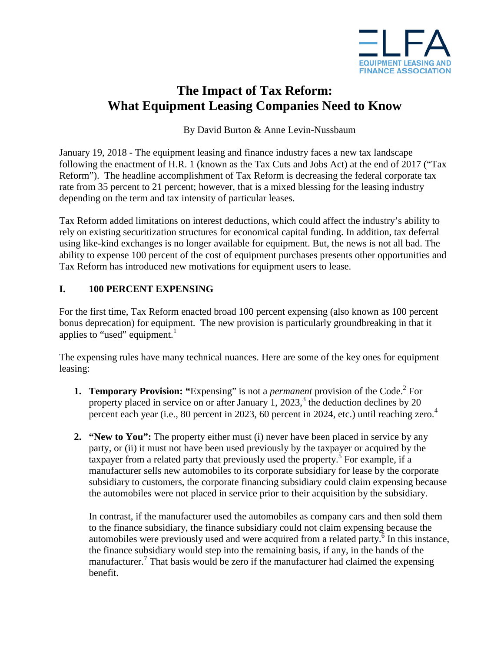

# **The Impact of Tax Reform: What Equipment Leasing Companies Need to Know**

## By David Burton & Anne Levin-Nussbaum

January 19, 2018 - The equipment leasing and finance industry faces a new tax landscape following the enactment of H.R. 1 (known as the Tax Cuts and Jobs Act) at the end of 2017 ("Tax Reform"). The headline accomplishment of Tax Reform is decreasing the federal corporate tax rate from 35 percent to 21 percent; however, that is a mixed blessing for the leasing industry depending on the term and tax intensity of particular leases.

Tax Reform added limitations on interest deductions, which could affect the industry's ability to rely on existing securitization structures for economical capital funding. In addition, tax deferral using like-kind exchanges is no longer available for equipment. But, the news is not all bad. The ability to expense 100 percent of the cost of equipment purchases presents other opportunities and Tax Reform has introduced new motivations for equipment users to lease.

### **I. 100 PERCENT EXPENSING**

For the first time, Tax Reform enacted broad 100 percent expensing (also known as 100 percent bonus deprecation) for equipment. The new provision is particularly groundbreaking in that it applies to "used" equipment.<sup>1</sup>

The expensing rules have many technical nuances. Here are some of the key ones for equipment leasing:

- **1. Temporary Provision: "Expensing" is not a** *permanent* **provision of the Code.<sup>2</sup> For** property placed in service on or after January 1, 2023,<sup>3</sup> the deduction declines by 20 percent each year (i.e., 80 percent in 2023, 60 percent in 2024, etc.) until reaching zero.<sup>4</sup>
- **2. "New to You":** The property either must (i) never have been placed in service by any party, or (ii) it must not have been used previously by the taxpayer or acquired by the taxpayer from a related party that previously used the property.<sup>5</sup> For example, if a manufacturer sells new automobiles to its corporate subsidiary for lease by the corporate subsidiary to customers, the corporate financing subsidiary could claim expensing because the automobiles were not placed in service prior to their acquisition by the subsidiary.

In contrast, if the manufacturer used the automobiles as company cars and then sold them to the finance subsidiary, the finance subsidiary could not claim expensing because the automobiles were previously used and were acquired from a related party.<sup>6</sup> In this instance, the finance subsidiary would step into the remaining basis, if any, in the hands of the manufacturer.<sup>7</sup> That basis would be zero if the manufacturer had claimed the expensing benefit.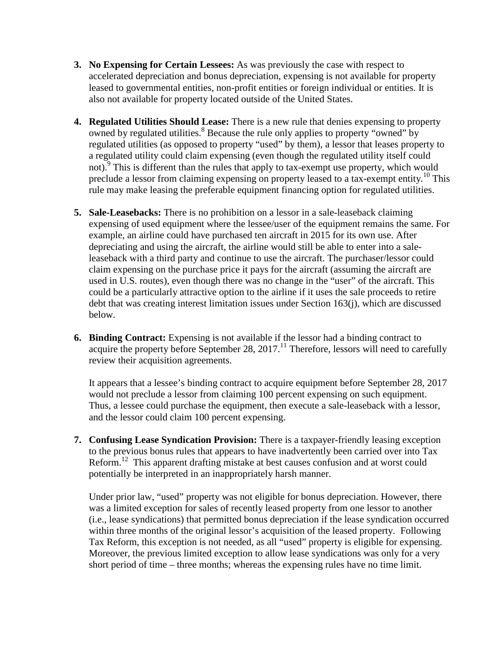- **3. No Expensing for Certain Lessees:** As was previously the case with respect to accelerated depreciation and bonus depreciation, expensing is not available for property leased to governmental entities, non-profit entities or foreign individual or entities. It is also not available for property located outside of the United States.
- **4. Regulated Utilities Should Lease:** There is a new rule that denies expensing to property owned by regulated utilities.<sup>8</sup> Because the rule only applies to property "owned" by regulated utilities (as opposed to property "used" by them), a lessor that leases property to a regulated utility could claim expensing (even though the regulated utility itself could not).<sup>9</sup> This is different than the rules that apply to tax-exempt use property, which would preclude a lessor from claiming expensing on property leased to a tax-exempt entity.<sup>10</sup> This rule may make leasing the preferable equipment financing option for regulated utilities.
- **5. Sale-Leasebacks:** There is no prohibition on a lessor in a sale-leaseback claiming expensing of used equipment where the lessee/user of the equipment remains the same. For example, an airline could have purchased ten aircraft in 2015 for its own use. After depreciating and using the aircraft, the airline would still be able to enter into a saleleaseback with a third party and continue to use the aircraft. The purchaser/lessor could claim expensing on the purchase price it pays for the aircraft (assuming the aircraft are used in U.S. routes), even though there was no change in the "user" of the aircraft. This could be a particularly attractive option to the airline if it uses the sale proceeds to retire debt that was creating interest limitation issues under Section 163(j), which are discussed below.
- **6. Binding Contract:** Expensing is not available if the lessor had a binding contract to acquire the property before September 28, 2017.<sup>11</sup> Therefore, lessors will need to carefully review their acquisition agreements.

It appears that a lessee's binding contract to acquire equipment before September 28, 2017 would not preclude a lessor from claiming 100 percent expensing on such equipment. Thus, a lessee could purchase the equipment, then execute a sale-leaseback with a lessor, and the lessor could claim 100 percent expensing.

**7. Confusing Lease Syndication Provision:** There is a taxpayer-friendly leasing exception to the previous bonus rules that appears to have inadvertently been carried over into Tax Reform.<sup>12</sup> This apparent drafting mistake at best causes confusion and at worst could potentially be interpreted in an inappropriately harsh manner.

Under prior law, "used" property was not eligible for bonus depreciation. However, there was a limited exception for sales of recently leased property from one lessor to another (i.e., lease syndications) that permitted bonus depreciation if the lease syndication occurred within three months of the original lessor's acquisition of the leased property. Following Tax Reform, this exception is not needed, as all "used" property is eligible for expensing. Moreover, the previous limited exception to allow lease syndications was only for a very short period of time – three months; whereas the expensing rules have no time limit.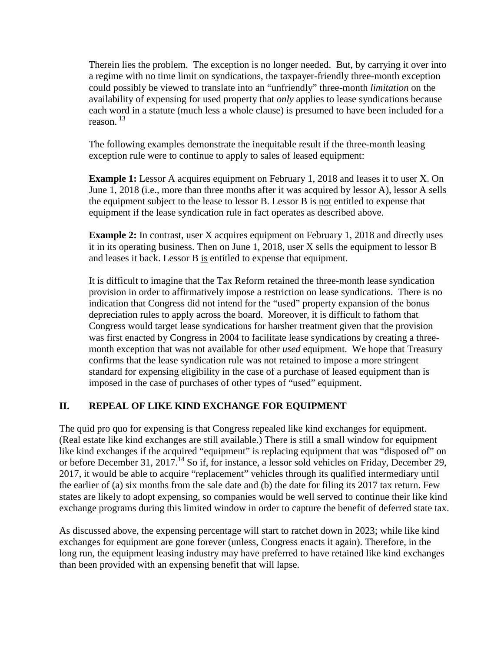Therein lies the problem. The exception is no longer needed. But, by carrying it over into a regime with no time limit on syndications, the taxpayer-friendly three-month exception could possibly be viewed to translate into an "unfriendly" three-month *limitation* on the availability of expensing for used property that *only* applies to lease syndications because each word in a statute (much less a whole clause) is presumed to have been included for a reason. <sup>13</sup>

The following examples demonstrate the inequitable result if the three-month leasing exception rule were to continue to apply to sales of leased equipment:

**Example 1:** Lessor A acquires equipment on February 1, 2018 and leases it to user X. On June 1, 2018 (i.e., more than three months after it was acquired by lessor A), lessor A sells the equipment subject to the lease to lessor B. Lessor B is not entitled to expense that equipment if the lease syndication rule in fact operates as described above.

**Example 2:** In contrast, user X acquires equipment on February 1, 2018 and directly uses it in its operating business. Then on June 1, 2018, user X sells the equipment to lessor B and leases it back. Lessor B is entitled to expense that equipment.

It is difficult to imagine that the Tax Reform retained the three-month lease syndication provision in order to affirmatively impose a restriction on lease syndications. There is no indication that Congress did not intend for the "used" property expansion of the bonus depreciation rules to apply across the board. Moreover, it is difficult to fathom that Congress would target lease syndications for harsher treatment given that the provision was first enacted by Congress in 2004 to facilitate lease syndications by creating a threemonth exception that was not available for other *used* equipment. We hope that Treasury confirms that the lease syndication rule was not retained to impose a more stringent standard for expensing eligibility in the case of a purchase of leased equipment than is imposed in the case of purchases of other types of "used" equipment.

# **II. REPEAL OF LIKE KIND EXCHANGE FOR EQUIPMENT**

The quid pro quo for expensing is that Congress repealed like kind exchanges for equipment. (Real estate like kind exchanges are still available.) There is still a small window for equipment like kind exchanges if the acquired "equipment" is replacing equipment that was "disposed of" on or before December 31, 2017.<sup>14</sup> So if, for instance, a lessor sold vehicles on Friday, December 29, 2017, it would be able to acquire "replacement" vehicles through its qualified intermediary until the earlier of (a) six months from the sale date and (b) the date for filing its 2017 tax return. Few states are likely to adopt expensing, so companies would be well served to continue their like kind exchange programs during this limited window in order to capture the benefit of deferred state tax.

As discussed above, the expensing percentage will start to ratchet down in 2023; while like kind exchanges for equipment are gone forever (unless, Congress enacts it again). Therefore, in the long run, the equipment leasing industry may have preferred to have retained like kind exchanges than been provided with an expensing benefit that will lapse.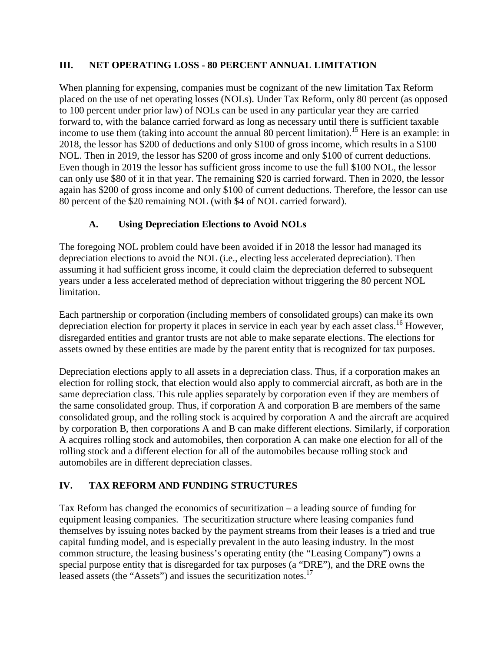## **III. NET OPERATING LOSS - 80 PERCENT ANNUAL LIMITATION**

When planning for expensing, companies must be cognizant of the new limitation Tax Reform placed on the use of net operating losses (NOLs). Under Tax Reform, only 80 percent (as opposed to 100 percent under prior law) of NOLs can be used in any particular year they are carried forward to, with the balance carried forward as long as necessary until there is sufficient taxable income to use them (taking into account the annual 80 percent limitation).<sup>15</sup> Here is an example: in 2018, the lessor has \$200 of deductions and only \$100 of gross income, which results in a \$100 NOL. Then in 2019, the lessor has \$200 of gross income and only \$100 of current deductions. Even though in 2019 the lessor has sufficient gross income to use the full \$100 NOL, the lessor can only use \$80 of it in that year. The remaining \$20 is carried forward. Then in 2020, the lessor again has \$200 of gross income and only \$100 of current deductions. Therefore, the lessor can use 80 percent of the \$20 remaining NOL (with \$4 of NOL carried forward).

# **A. Using Depreciation Elections to Avoid NOLs**

The foregoing NOL problem could have been avoided if in 2018 the lessor had managed its depreciation elections to avoid the NOL (i.e., electing less accelerated depreciation). Then assuming it had sufficient gross income, it could claim the depreciation deferred to subsequent years under a less accelerated method of depreciation without triggering the 80 percent NOL limitation.

Each partnership or corporation (including members of consolidated groups) can make its own depreciation election for property it places in service in each year by each asset class.<sup>16</sup> However, disregarded entities and grantor trusts are not able to make separate elections. The elections for assets owned by these entities are made by the parent entity that is recognized for tax purposes.

Depreciation elections apply to all assets in a depreciation class. Thus, if a corporation makes an election for rolling stock, that election would also apply to commercial aircraft, as both are in the same depreciation class. This rule applies separately by corporation even if they are members of the same consolidated group. Thus, if corporation A and corporation B are members of the same consolidated group, and the rolling stock is acquired by corporation A and the aircraft are acquired by corporation B, then corporations A and B can make different elections. Similarly, if corporation A acquires rolling stock and automobiles, then corporation A can make one election for all of the rolling stock and a different election for all of the automobiles because rolling stock and automobiles are in different depreciation classes.

# **IV. TAX REFORM AND FUNDING STRUCTURES**

Tax Reform has changed the economics of securitization – a leading source of funding for equipment leasing companies. The securitization structure where leasing companies fund themselves by issuing notes backed by the payment streams from their leases is a tried and true capital funding model, and is especially prevalent in the auto leasing industry. In the most common structure, the leasing business's operating entity (the "Leasing Company") owns a special purpose entity that is disregarded for tax purposes (a "DRE"), and the DRE owns the leased assets (the "Assets") and issues the securitization notes.<sup>17</sup>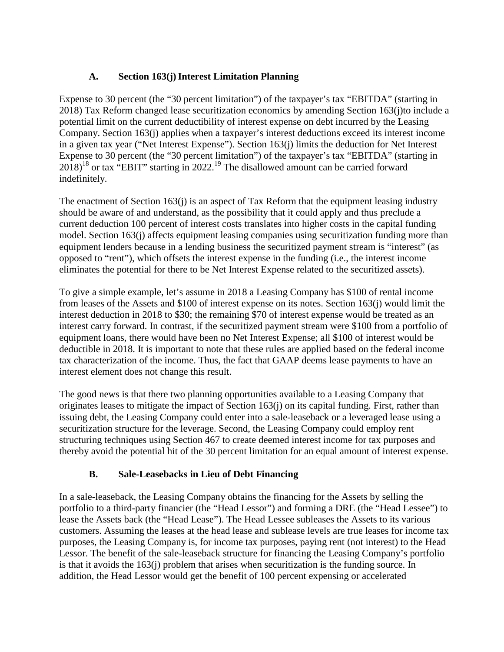# **A. Section 163(j)Interest Limitation Planning**

Expense to 30 percent (the "30 percent limitation") of the taxpayer's tax "EBITDA" (starting in 2018) Tax Reform changed lease securitization economics by amending Section 163(j)to include a potential limit on the current deductibility of interest expense on debt incurred by the Leasing Company. Section 163(j) applies when a taxpayer's interest deductions exceed its interest income in a given tax year ("Net Interest Expense"). Section 163(j) limits the deduction for Net Interest Expense to 30 percent (the "30 percent limitation") of the taxpayer's tax "EBITDA" (starting in  $2018)^{18}$  or tax "EBIT" starting in 2022.<sup>19</sup> The disallowed amount can be carried forward indefinitely.

The enactment of Section 163(j) is an aspect of Tax Reform that the equipment leasing industry should be aware of and understand, as the possibility that it could apply and thus preclude a current deduction 100 percent of interest costs translates into higher costs in the capital funding model. Section 163(j) affects equipment leasing companies using securitization funding more than equipment lenders because in a lending business the securitized payment stream is "interest" (as opposed to "rent"), which offsets the interest expense in the funding (i.e., the interest income eliminates the potential for there to be Net Interest Expense related to the securitized assets).

To give a simple example, let's assume in 2018 a Leasing Company has \$100 of rental income from leases of the Assets and \$100 of interest expense on its notes. Section 163(j) would limit the interest deduction in 2018 to \$30; the remaining \$70 of interest expense would be treated as an interest carry forward. In contrast, if the securitized payment stream were \$100 from a portfolio of equipment loans, there would have been no Net Interest Expense; all \$100 of interest would be deductible in 2018. It is important to note that these rules are applied based on the federal income tax characterization of the income. Thus, the fact that GAAP deems lease payments to have an interest element does not change this result.

The good news is that there two planning opportunities available to a Leasing Company that originates leases to mitigate the impact of Section 163(j) on its capital funding. First, rather than issuing debt, the Leasing Company could enter into a sale-leaseback or a leveraged lease using a securitization structure for the leverage. Second, the Leasing Company could employ rent structuring techniques using Section 467 to create deemed interest income for tax purposes and thereby avoid the potential hit of the 30 percent limitation for an equal amount of interest expense.

# **B. Sale-Leasebacks in Lieu of Debt Financing**

In a sale-leaseback, the Leasing Company obtains the financing for the Assets by selling the portfolio to a third-party financier (the "Head Lessor") and forming a DRE (the "Head Lessee") to lease the Assets back (the "Head Lease"). The Head Lessee subleases the Assets to its various customers. Assuming the leases at the head lease and sublease levels are true leases for income tax purposes, the Leasing Company is, for income tax purposes, paying rent (not interest) to the Head Lessor. The benefit of the sale-leaseback structure for financing the Leasing Company's portfolio is that it avoids the 163(j) problem that arises when securitization is the funding source. In addition, the Head Lessor would get the benefit of 100 percent expensing or accelerated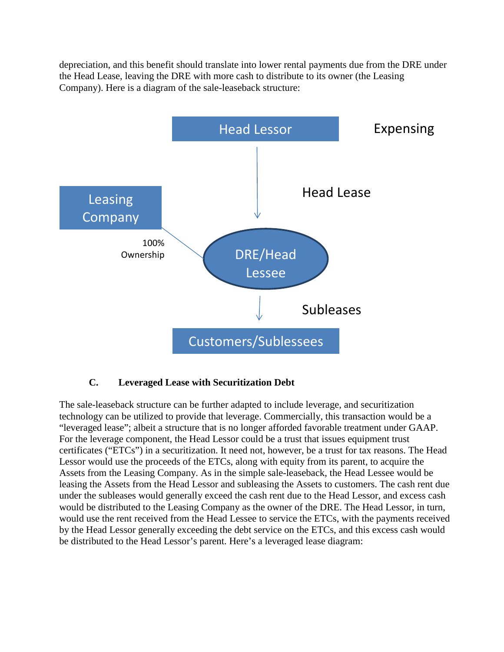depreciation, and this benefit should translate into lower rental payments due from the DRE under the Head Lease, leaving the DRE with more cash to distribute to its owner (the Leasing Company). Here is a diagram of the sale-leaseback structure:



### **C. Leveraged Lease with Securitization Debt**

The sale-leaseback structure can be further adapted to include leverage, and securitization technology can be utilized to provide that leverage. Commercially, this transaction would be a "leveraged lease"; albeit a structure that is no longer afforded favorable treatment under GAAP. For the leverage component, the Head Lessor could be a trust that issues equipment trust certificates ("ETCs") in a securitization. It need not, however, be a trust for tax reasons. The Head Lessor would use the proceeds of the ETCs, along with equity from its parent, to acquire the Assets from the Leasing Company. As in the simple sale-leaseback, the Head Lessee would be leasing the Assets from the Head Lessor and subleasing the Assets to customers. The cash rent due under the subleases would generally exceed the cash rent due to the Head Lessor, and excess cash would be distributed to the Leasing Company as the owner of the DRE. The Head Lessor, in turn, would use the rent received from the Head Lessee to service the ETCs, with the payments received by the Head Lessor generally exceeding the debt service on the ETCs, and this excess cash would be distributed to the Head Lessor's parent. Here's a leveraged lease diagram: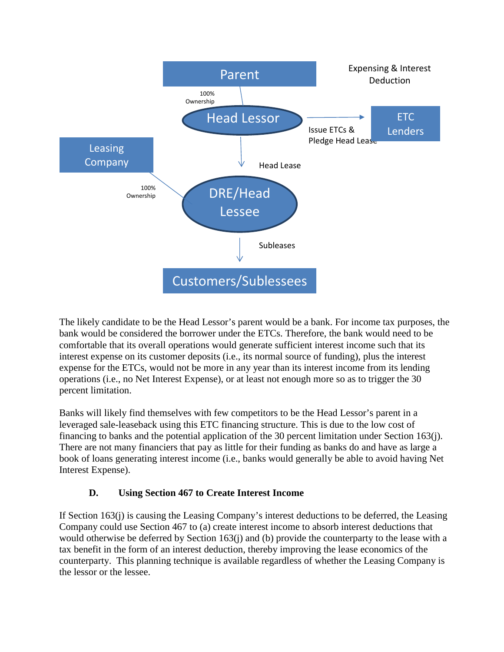

The likely candidate to be the Head Lessor's parent would be a bank. For income tax purposes, the bank would be considered the borrower under the ETCs. Therefore, the bank would need to be comfortable that its overall operations would generate sufficient interest income such that its interest expense on its customer deposits (i.e., its normal source of funding), plus the interest expense for the ETCs, would not be more in any year than its interest income from its lending operations (i.e., no Net Interest Expense), or at least not enough more so as to trigger the 30 percent limitation.

Banks will likely find themselves with few competitors to be the Head Lessor's parent in a leveraged sale-leaseback using this ETC financing structure. This is due to the low cost of financing to banks and the potential application of the 30 percent limitation under Section 163(j). There are not many financiers that pay as little for their funding as banks do and have as large a book of loans generating interest income (i.e., banks would generally be able to avoid having Net Interest Expense).

# **D. Using Section 467 to Create Interest Income**

If Section 163(j) is causing the Leasing Company's interest deductions to be deferred, the Leasing Company could use Section 467 to (a) create interest income to absorb interest deductions that would otherwise be deferred by Section 163(j) and (b) provide the counterparty to the lease with a tax benefit in the form of an interest deduction, thereby improving the lease economics of the counterparty. This planning technique is available regardless of whether the Leasing Company is the lessor or the lessee.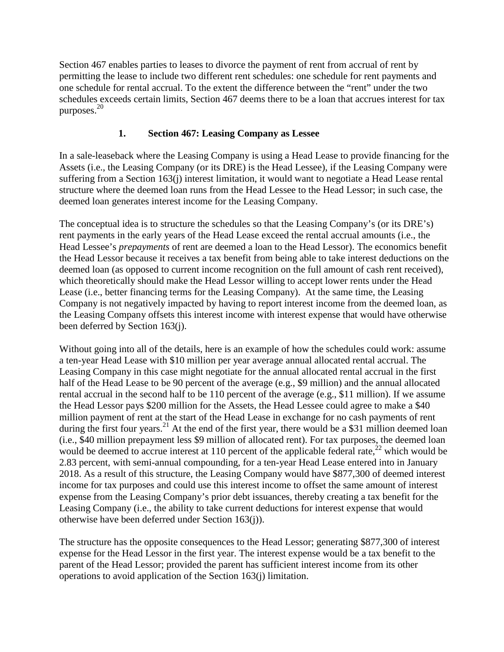Section 467 enables parties to leases to divorce the payment of rent from accrual of rent by permitting the lease to include two different rent schedules: one schedule for rent payments and one schedule for rental accrual. To the extent the difference between the "rent" under the two schedules exceeds certain limits, Section 467 deems there to be a loan that accrues interest for tax purposes.<sup>20</sup>

# **1. Section 467: Leasing Company as Lessee**

In a sale-leaseback where the Leasing Company is using a Head Lease to provide financing for the Assets (i.e., the Leasing Company (or its DRE) is the Head Lessee), if the Leasing Company were suffering from a Section 163(j) interest limitation, it would want to negotiate a Head Lease rental structure where the deemed loan runs from the Head Lessee to the Head Lessor; in such case, the deemed loan generates interest income for the Leasing Company.

The conceptual idea is to structure the schedules so that the Leasing Company's (or its DRE's) rent payments in the early years of the Head Lease exceed the rental accrual amounts (i.e., the Head Lessee's *prepayments* of rent are deemed a loan to the Head Lessor). The economics benefit the Head Lessor because it receives a tax benefit from being able to take interest deductions on the deemed loan (as opposed to current income recognition on the full amount of cash rent received), which theoretically should make the Head Lessor willing to accept lower rents under the Head Lease (i.e., better financing terms for the Leasing Company). At the same time, the Leasing Company is not negatively impacted by having to report interest income from the deemed loan, as the Leasing Company offsets this interest income with interest expense that would have otherwise been deferred by Section 163(j).

Without going into all of the details, here is an example of how the schedules could work: assume a ten-year Head Lease with \$10 million per year average annual allocated rental accrual. The Leasing Company in this case might negotiate for the annual allocated rental accrual in the first half of the Head Lease to be 90 percent of the average (e.g., \$9 million) and the annual allocated rental accrual in the second half to be 110 percent of the average (e.g., \$11 million). If we assume the Head Lessor pays \$200 million for the Assets, the Head Lessee could agree to make a \$40 million payment of rent at the start of the Head Lease in exchange for no cash payments of rent during the first four years.<sup>21</sup> At the end of the first year, there would be a \$31 million deemed loan (i.e., \$40 million prepayment less \$9 million of allocated rent). For tax purposes, the deemed loan would be deemed to accrue interest at 110 percent of the applicable federal rate,<sup>22</sup> which would be 2.83 percent, with semi-annual compounding, for a ten-year Head Lease entered into in January 2018. As a result of this structure, the Leasing Company would have \$877,300 of deemed interest income for tax purposes and could use this interest income to offset the same amount of interest expense from the Leasing Company's prior debt issuances, thereby creating a tax benefit for the Leasing Company (i.e., the ability to take current deductions for interest expense that would otherwise have been deferred under Section 163(j)).

The structure has the opposite consequences to the Head Lessor; generating \$877,300 of interest expense for the Head Lessor in the first year. The interest expense would be a tax benefit to the parent of the Head Lessor; provided the parent has sufficient interest income from its other operations to avoid application of the Section 163(j) limitation.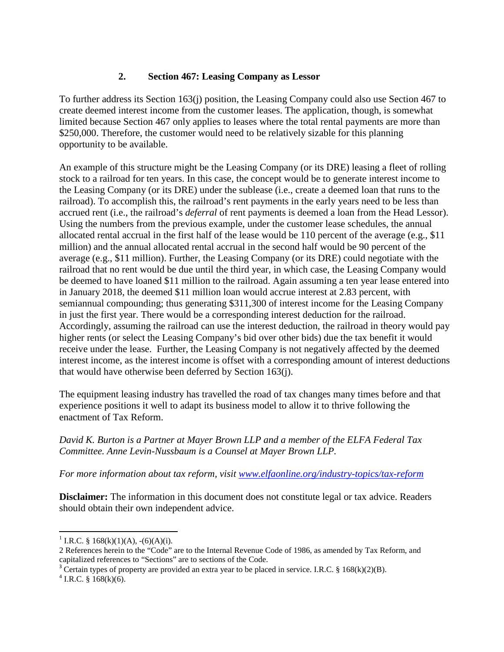## **2. Section 467: Leasing Company as Lessor**

To further address its Section 163(j) position, the Leasing Company could also use Section 467 to create deemed interest income from the customer leases. The application, though, is somewhat limited because Section 467 only applies to leases where the total rental payments are more than \$250,000. Therefore, the customer would need to be relatively sizable for this planning opportunity to be available.

An example of this structure might be the Leasing Company (or its DRE) leasing a fleet of rolling stock to a railroad for ten years. In this case, the concept would be to generate interest income to the Leasing Company (or its DRE) under the sublease (i.e., create a deemed loan that runs to the railroad). To accomplish this, the railroad's rent payments in the early years need to be less than accrued rent (i.e., the railroad's *deferral* of rent payments is deemed a loan from the Head Lessor). Using the numbers from the previous example, under the customer lease schedules, the annual allocated rental accrual in the first half of the lease would be 110 percent of the average (e.g., \$11 million) and the annual allocated rental accrual in the second half would be 90 percent of the average (e.g., \$11 million). Further, the Leasing Company (or its DRE) could negotiate with the railroad that no rent would be due until the third year, in which case, the Leasing Company would be deemed to have loaned \$11 million to the railroad. Again assuming a ten year lease entered into in January 2018, the deemed \$11 million loan would accrue interest at 2.83 percent, with semiannual compounding; thus generating \$311,300 of interest income for the Leasing Company in just the first year. There would be a corresponding interest deduction for the railroad. Accordingly, assuming the railroad can use the interest deduction, the railroad in theory would pay higher rents (or select the Leasing Company's bid over other bids) due the tax benefit it would receive under the lease. Further, the Leasing Company is not negatively affected by the deemed interest income, as the interest income is offset with a corresponding amount of interest deductions that would have otherwise been deferred by Section 163(j).

The equipment leasing industry has travelled the road of tax changes many times before and that experience positions it well to adapt its business model to allow it to thrive following the enactment of Tax Reform.

#### *David K. Burton is a Partner at Mayer Brown LLP and a member of the ELFA Federal Tax Committee. Anne Levin-Nussbaum is a Counsel at Mayer Brown LLP.*

*For more information about tax reform, visit www.elfaonline.org/industry-topics/tax-reform*

**Disclaimer:** The information in this document does not constitute legal or tax advice. Readers should obtain their own independent advice.

<sup>&</sup>lt;sup>1</sup> I.R.C. § 168(k)(1)(A), -(6)(A)(i).

<sup>2</sup> References herein to the "Code" are to the Internal Revenue Code of 1986, as amended by Tax Reform, and capitalized references to "Sections" are to sections of the Code.

<sup>&</sup>lt;sup>3</sup> Certain types of property are provided an extra year to be placed in service. I.R.C. § 168(k)(2)(B).

 $4$  I.R.C. § 168(k)(6).